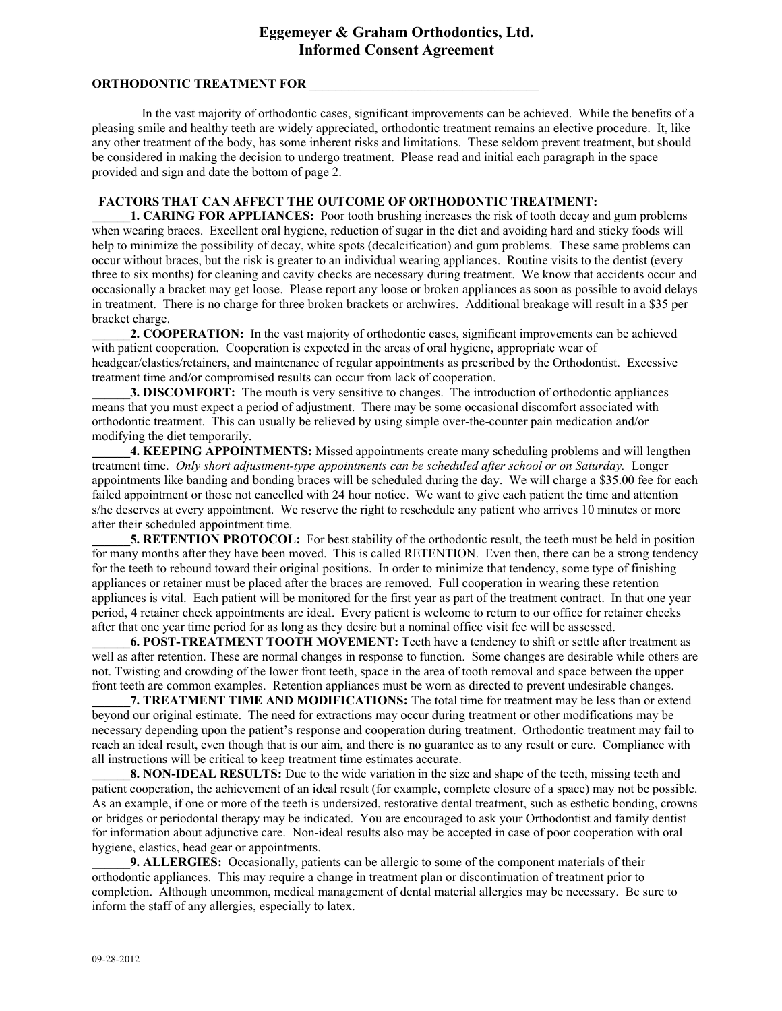# **Eggemeyer & Graham Orthodontics, Ltd. Informed Consent Agreement**

## **ORTHODONTIC TREATMENT FOR**

 In the vast majority of orthodontic cases, significant improvements can be achieved. While the benefits of a pleasing smile and healthy teeth are widely appreciated, orthodontic treatment remains an elective procedure. It, like any other treatment of the body, has some inherent risks and limitations. These seldom prevent treatment, but should be considered in making the decision to undergo treatment. Please read and initial each paragraph in the space provided and sign and date the bottom of page 2.

#### **FACTORS THAT CAN AFFECT THE OUTCOME OF ORTHODONTIC TREATMENT:**

**1. CARING FOR APPLIANCES:** Poor tooth brushing increases the risk of tooth decay and gum problems when wearing braces. Excellent oral hygiene, reduction of sugar in the diet and avoiding hard and sticky foods will help to minimize the possibility of decay, white spots (decalcification) and gum problems. These same problems can occur without braces, but the risk is greater to an individual wearing appliances. Routine visits to the dentist (every three to six months) for cleaning and cavity checks are necessary during treatment. We know that accidents occur and occasionally a bracket may get loose. Please report any loose or broken appliances as soon as possible to avoid delays in treatment. There is no charge for three broken brackets or archwires. Additional breakage will result in a \$35 per bracket charge.

**2. COOPERATION:** In the vast majority of orthodontic cases, significant improvements can be achieved with patient cooperation. Cooperation is expected in the areas of oral hygiene, appropriate wear of headgear/elastics/retainers, and maintenance of regular appointments as prescribed by the Orthodontist. Excessive treatment time and/or compromised results can occur from lack of cooperation.

3. DISCOMFORT: The mouth is very sensitive to changes. The introduction of orthodontic appliances means that you must expect a period of adjustment. There may be some occasional discomfort associated with orthodontic treatment. This can usually be relieved by using simple over-the-counter pain medication and/or modifying the diet temporarily.

**4. KEEPING APPOINTMENTS:** Missed appointments create many scheduling problems and will lengthen treatment time. *Only short adjustment-type appointments can be scheduled after school or on Saturday.* Longer appointments like banding and bonding braces will be scheduled during the day. We will charge a \$35.00 fee for each failed appointment or those not cancelled with 24 hour notice. We want to give each patient the time and attention s/he deserves at every appointment. We reserve the right to reschedule any patient who arrives 10 minutes or more after their scheduled appointment time.

**5. RETENTION PROTOCOL:** For best stability of the orthodontic result, the teeth must be held in position for many months after they have been moved. This is called RETENTION. Even then, there can be a strong tendency for the teeth to rebound toward their original positions. In order to minimize that tendency, some type of finishing appliances or retainer must be placed after the braces are removed. Full cooperation in wearing these retention appliances is vital. Each patient will be monitored for the first year as part of the treatment contract. In that one year period, 4 retainer check appointments are ideal. Every patient is welcome to return to our office for retainer checks after that one year time period for as long as they desire but a nominal office visit fee will be assessed.

**\_\_\_\_\_\_6. POST-TREATMENT TOOTH MOVEMENT:** Teeth have a tendency to shift or settle after treatment as well as after retention. These are normal changes in response to function. Some changes are desirable while others are not. Twisting and crowding of the lower front teeth, space in the area of tooth removal and space between the upper front teeth are common examples. Retention appliances must be worn as directed to prevent undesirable changes.

**7. TREATMENT TIME AND MODIFICATIONS:** The total time for treatment may be less than or extend beyond our original estimate. The need for extractions may occur during treatment or other modifications may be necessary depending upon the patient's response and cooperation during treatment. Orthodontic treatment may fail to reach an ideal result, even though that is our aim, and there is no guarantee as to any result or cure. Compliance with all instructions will be critical to keep treatment time estimates accurate.

**8. NON-IDEAL RESULTS:** Due to the wide variation in the size and shape of the teeth, missing teeth and patient cooperation, the achievement of an ideal result (for example, complete closure of a space) may not be possible. As an example, if one or more of the teeth is undersized, restorative dental treatment, such as esthetic bonding, crowns or bridges or periodontal therapy may be indicated. You are encouraged to ask your Orthodontist and family dentist for information about adjunctive care. Non-ideal results also may be accepted in case of poor cooperation with oral hygiene, elastics, head gear or appointments.

\_\_\_\_\_\_**9. ALLERGIES:** Occasionally, patients can be allergic to some of the component materials of their orthodontic appliances. This may require a change in treatment plan or discontinuation of treatment prior to completion. Although uncommon, medical management of dental material allergies may be necessary. Be sure to inform the staff of any allergies, especially to latex.